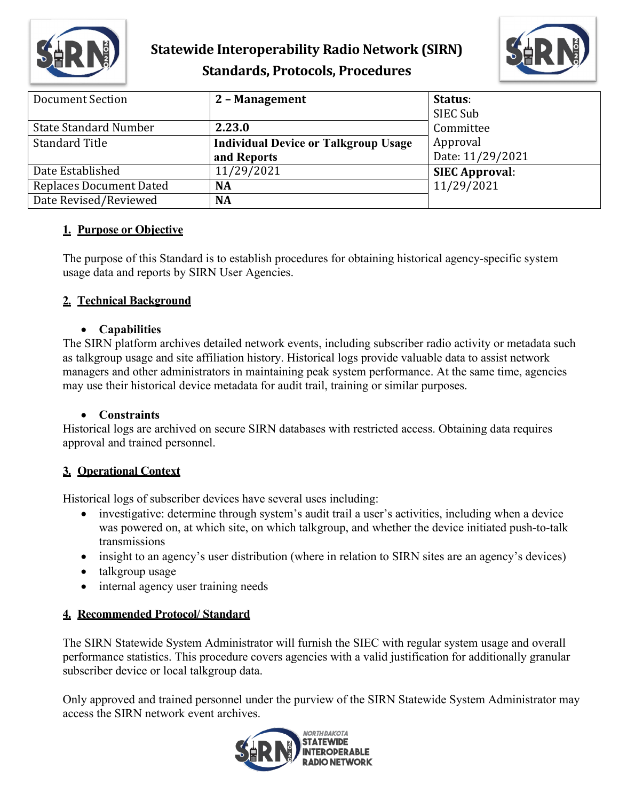

# **Statewide Interoperability Radio Network (SIRN) Standards, Protocols, Procedures**



| <b>Document Section</b>        | 2 - Management                              | Status:               |
|--------------------------------|---------------------------------------------|-----------------------|
|                                |                                             | SIEC Sub              |
| <b>State Standard Number</b>   | 2.23.0                                      | Committee             |
| <b>Standard Title</b>          | <b>Individual Device or Talkgroup Usage</b> | Approval              |
|                                | and Reports                                 | Date: 11/29/2021      |
| Date Established               | 11/29/2021                                  | <b>SIEC Approval:</b> |
| <b>Replaces Document Dated</b> | <b>NA</b>                                   | 11/29/2021            |
| Date Revised/Reviewed          | <b>NA</b>                                   |                       |

### **1. Purpose or Objective**

The purpose of this Standard is to establish procedures for obtaining historical agency-specific system usage data and reports by SIRN User Agencies.

### **2. Technical Background**

#### • **Capabilities**

The SIRN platform archives detailed network events, including subscriber radio activity or metadata such as talkgroup usage and site affiliation history. Historical logs provide valuable data to assist network managers and other administrators in maintaining peak system performance. At the same time, agencies may use their historical device metadata for audit trail, training or similar purposes.

### • **Constraints**

Historical logs are archived on secure SIRN databases with restricted access. Obtaining data requires approval and trained personnel.

## **3. Operational Context**

Historical logs of subscriber devices have several uses including:

- investigative: determine through system's audit trail a user's activities, including when a device was powered on, at which site, on which talkgroup, and whether the device initiated push-to-talk transmissions
- insight to an agency's user distribution (where in relation to SIRN sites are an agency's devices)
- talkgroup usage
- internal agency user training needs

### **4. Recommended Protocol/ Standard**

The SIRN Statewide System Administrator will furnish the SIEC with regular system usage and overall performance statistics. This procedure covers agencies with a valid justification for additionally granular subscriber device or local talkgroup data.

Only approved and trained personnel under the purview of the SIRN Statewide System Administrator may access the SIRN network event archives.